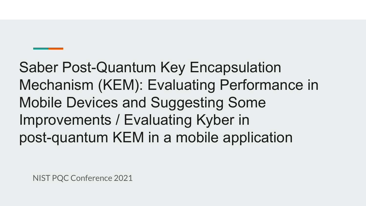Saber Post-Quantum Key Encapsulation Mechanism (KEM): Evaluating Performance in Mobile Devices and Suggesting Some Improvements / Evaluating Kyber in post-quantum KEM in a mobile application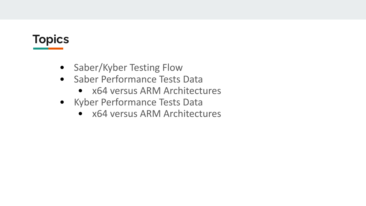# **Topics**

- Saber/Kyber Testing Flow
- Saber Performance Tests Data
	- x64 versus ARM Architectures
- Kyber Performance Tests Data
	- x64 versus ARM Architectures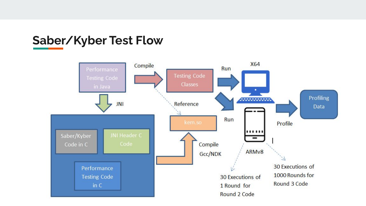### **Saber/Kyber Test Flow**

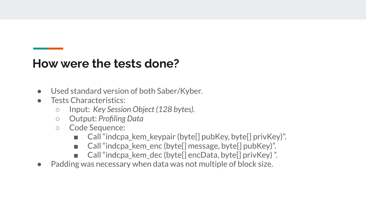### **How were the tests done?**

- Used standard version of both Saber/Kyber.
- Tests Characteristics:
	- Input: *Key Session Object (128 bytes).*
	- Output: *Profiling Data*
	- Code Sequence:
		- Call "indcpa\_kem\_keypair (byte[] pubKey, byte[] privKey)".
		- Call "indcpa\_kem\_enc (byte[] message, byte[] pubKey)".
		- Call "indcpa\_kem\_dec (byte[] encData, byte[] privKey)".
- Padding was necessary when data was not multiple of block size.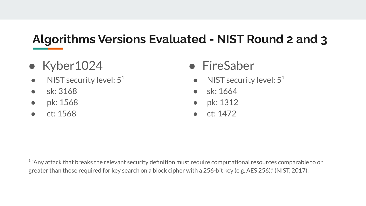# **Algorithms Versions Evaluated - NIST Round 2 and 3**

- Kyber1024
- $\bullet$  NIST security level:  $5^1$
- sk: 3168
- pk: 1568
- ct: 1568
- FireSaber
	- NIST security level:  $5<sup>1</sup>$
	- sk: 1664
	- pk: 1312
	- ct: 1472

<sup>1</sup> "Any attack that breaks the relevant security definition must require computational resources comparable to or greater than those required for key search on a block cipher with a 256-bit key (e.g. AES 256)." (NIST, 2017).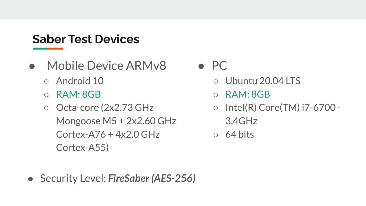### **Saber Test Devices**

- Mobile Device ARMv8
	- Android 10
	- $\circ$  RAM: 8GB
	- Octa-core (2x2.73 GHz) Mongoose M5 + 2x2.60 GHz  $Cortex-A76 + 4x2.0 GHz$ Cortex-A55)
- $\bullet$  PC
	- Ubuntu 20.04 LTS
	- $\circ$  RAM: 8GB
	- $\circ$  Intel(R) Core(TM) i7-6700 -3,4GHz
	- $\circ$  64 bits

● Security Level: *FireSaber (AES-256)*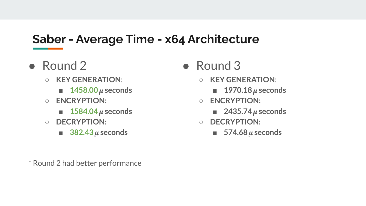## **Saber - Average Time - x64 Architecture**

- Round 2
	- **KEY GENERATION**:
		- $\blacksquare$  **1458.00**  $\mu$  seconds
	- **○ ENCRYPTION:**
		- $\blacksquare$  **1584.04**  $\mu$  seconds
	- **○ DECRYPTION:**
		- $\blacksquare$  **382.43**  $\mu$  seconds

\* Round 2 had better performance

- Round 3
	- **KEY GENERATION**:
		- **1970.18**  $\mu$  seconds
	- **○ ENCRYPTION:**
		- **2435.74**  $\mu$  seconds
	- **○ DECRYPTION:**
		- $\blacksquare$  **574.68** $\mu$  seconds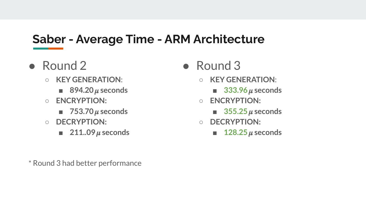## **Saber - Average Time - ARM Architecture**

- Round 2
	- **KEY GENERATION**:
		- 894.20  $\mu$  seconds
	- **○ ENCRYPTION:**
		- **753.70**  $\mu$  seconds
	- **○ DECRYPTION:**
		- **211..09**  $\mu$  seconds

\* Round 3 had better performance

- Round 3
	- **KEY GENERATION**:
		- 333.96  $\mu$  seconds
	- **○ ENCRYPTION:**
		- $\blacksquare$  **355.25**  $\mu$  seconds
	- **○ DECRYPTION:**
		- $\blacksquare$  **128.25**  $\mu$  seconds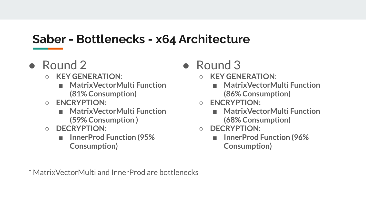### **Saber - Bottlenecks - x64 Architecture**

- Round 2
	- **KEY GENERATION**:
		- **■ MatrixVectorMulti Function (81% Consumption)**
	- **○ ENCRYPTION:**
		- **■ MatrixVectorMulti Function (59% Consumption )**
	- **○ DECRYPTION:**
		- **■ InnerProd Function (95% Consumption)**
- $\bullet$  Round 3
	- **KEY GENERATION**:
		- **■ MatrixVectorMulti Function (86% Consumption)**
	- **○ ENCRYPTION:**
		- **■ MatrixVectorMulti Function (68% Consumption)**
	- **○ DECRYPTION:**
		- **■ InnerProd Function (96% Consumption)**

\* MatrixVectorMulti and InnerProd are bottlenecks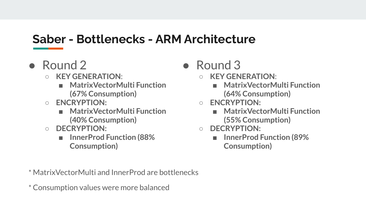## **Saber - Bottlenecks - ARM Architecture**

- Round 2
	- **KEY GENERATION**:
		- **■ MatrixVectorMulti Function (67% Consumption)**
	- **○ ENCRYPTION:**
		- **■ MatrixVectorMulti Function (40% Consumption)**
	- **○ DECRYPTION:**
		- **■ InnerProd Function (88% Consumption)**
- $\bullet$  Round 3
	- **KEY GENERATION**:
		- **■ MatrixVectorMulti Function (64% Consumption)**
	- **○ ENCRYPTION:**
		- **■ MatrixVectorMulti Function (55% Consumption)**
	- **○ DECRYPTION:**
		- **■ InnerProd Function (89% Consumption)**

\* MatrixVectorMulti and InnerProd are bottlenecks

\* Consumption values were more balanced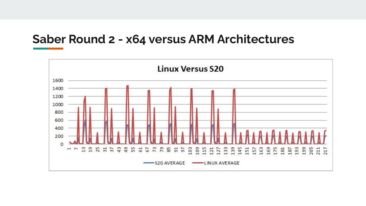#### **Saber Round 2 - x64 versus ARM Architectures**

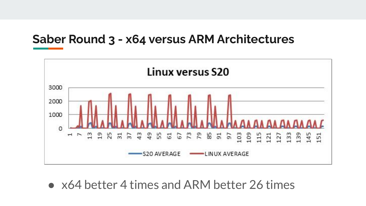#### **Saber Round 3 - x64 versus ARM Architectures**



● x64 better 4 times and ARM better 26 times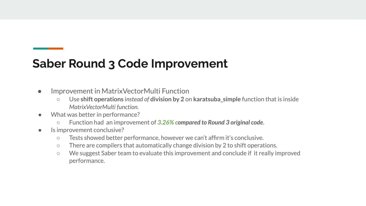## **Saber Round 3 Code Improvement**

- Improvement in MatrixVectorMulti Function
	- Use **shift operations** i*nstead of* **division by 2** on **karatsuba\_simple** function that is inside *MatrixVectorMulti function.*
- What was better in performance?
	- Function had an improvement of *3.26% compared to Round 3 original code*.
- Is improvement conclusive?
	- Tests showed better performance, however we can't affirm it's conclusive.
	- $\circ$  There are compilers that automatically change division by 2 to shift operations.
	- We suggest Saber team to evaluate this improvement and conclude if it really improved performance.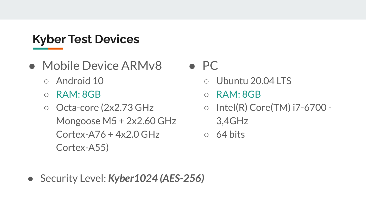# **Kyber Test Devices**

- Mobile Device ARMv8
	- Android 10
	- $\circ$  RAM: 8GB
	- Octa-core (2x2.73 GHz) Mongoose M5 + 2x2.60 GHz  $Cortex-A76 + 4x2.0 GHz$ Cortex-A55)

## $\bullet$  PC

- Ubuntu 20.04 LTS
- $\circ$  RAM: 8GB
- $\circ$  Intel(R) Core(TM) i7-6700 -3,4GHz
- $\circ$  64 bits

● Security Level: *Kyber1024 (AES-256)*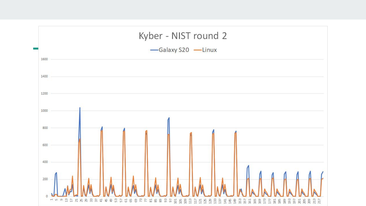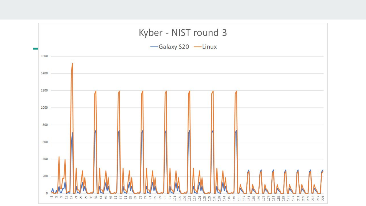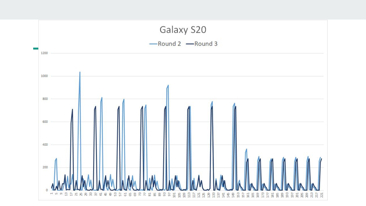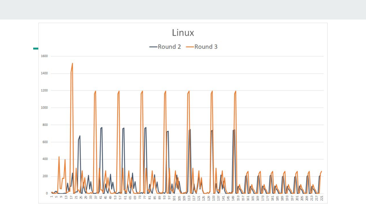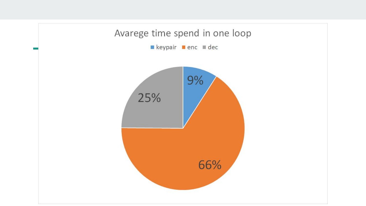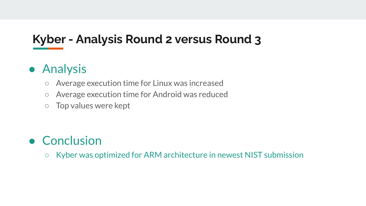# **Kyber - Analysis Round 2 versus Round 3**

## ● Analysis

- Average execution time for Linux was increased
- Average execution time for Android was reduced
- Top values were kept

## ● Conclusion

○ Kyber was optimized for ARM architecture in newest NIST submission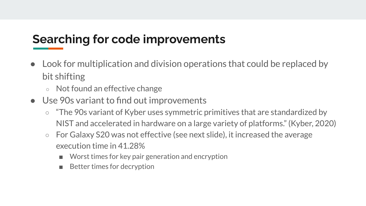## **Searching for code improvements**

- Look for multiplication and division operations that could be replaced by bit shifting
	- Not found an effective change
- Use 90s variant to find out improvements
	- "The 90s variant of Kyber uses symmetric primitives that are standardized by NIST and accelerated in hardware on a large variety of platforms." (Kyber, 2020)
	- For Galaxy S20 was not effective (see next slide), it increased the average execution time in 41.28%
		- Worst times for key pair generation and encryption
		- Better times for decryption